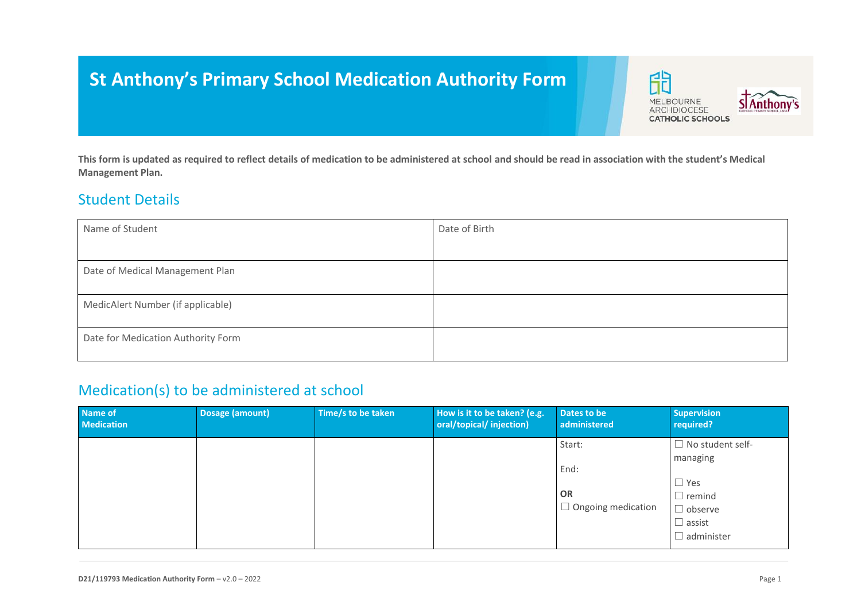# **St Anthony's Primary School Medication Authority Form**

印 **STAnthony's MELBOURNE** ARCHDIOCESE **CATHOLIC SCHOOLS** 

**This form is updated as required to reflect details of medication to be administered at school and should be read in association with the student's Medical Management Plan.**

#### Student Details

| Name of Student                    | Date of Birth |
|------------------------------------|---------------|
|                                    |               |
| Date of Medical Management Plan    |               |
|                                    |               |
| MedicAlert Number (if applicable)  |               |
| Date for Medication Authority Form |               |

## Medication(s) to be administered at school

| Name of<br><b>Medication</b> | Dosage (amount) | Time/s to be taken | How is it to be taken? (e.g.<br>oral/topical/injection) | Dates to be<br>administered                              | <b>Supervision</b><br>required?                                                                                            |
|------------------------------|-----------------|--------------------|---------------------------------------------------------|----------------------------------------------------------|----------------------------------------------------------------------------------------------------------------------------|
|                              |                 |                    |                                                         | Start:<br>End:<br><b>OR</b><br>$\Box$ Ongoing medication | $\Box$ No student self-<br>managing<br>$\Box$ Yes<br>$\Box$ remind<br>$\Box$ observe<br>$\Box$ assist<br>$\Box$ administer |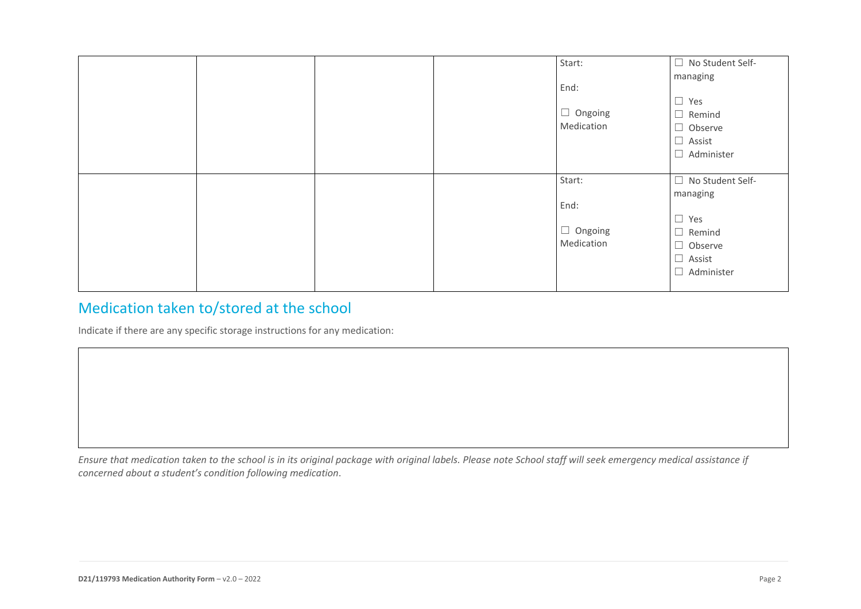|  |  | Start:         | $\Box$<br>No Student Self- |
|--|--|----------------|----------------------------|
|  |  |                | managing                   |
|  |  | End:           |                            |
|  |  |                | $\square$ Yes              |
|  |  | $\Box$ Ongoing | $\Box$ Remind              |
|  |  | Medication     | $\Box$ Observe             |
|  |  |                | $\Box$ Assist              |
|  |  |                | $\Box$<br>Administer       |
|  |  |                |                            |
|  |  | Start:         | $\Box$<br>No Student Self- |
|  |  |                | managing                   |
|  |  | End:           |                            |
|  |  |                | $\Box$<br>Yes              |
|  |  | $\Box$ Ongoing | $\Box$<br>Remind           |
|  |  | Medication     | $\Box$ Observe             |
|  |  |                | $\Box$ Assist              |
|  |  |                |                            |
|  |  |                | Administer<br>$\Box$       |

# Medication taken to/stored at the school

Indicate if there are any specific storage instructions for any medication:

*Ensure that medication taken to the school is in its original package with original labels. Please note School staff will seek emergency medical assistance if concerned about a student's condition following medication*.